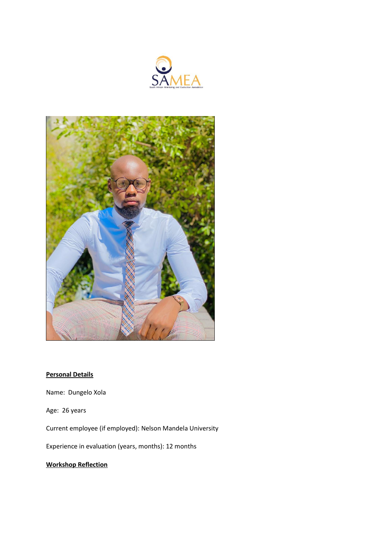



## **Personal Details**

Name: Dungelo Xola

Age: 26 years

Current employee (if employed): Nelson Mandela University

Experience in evaluation (years, months): 12 months

## **Workshop Reflection**